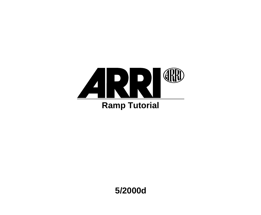

**5/2000d**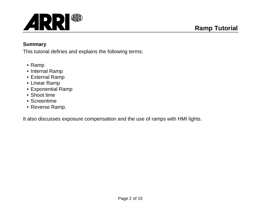

#### **Summary**

This tutorial defines and explains the following terms:

- Ramp
- Internal Ramp
- External Ramp
- Linear Ramp
- Exponential Ramp
- Shoot time
- Screentime
- Reverse Ramp.

It also discusses exposure compensation and the use of ramps with HMI lights.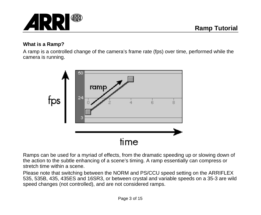

#### **What is a Ramp?**

A ramp is a controlled change of the camera's frame rate (fps) over time, performed while the camera is running.



Ramps can be used for a myriad of effects, from the dramatic speeding up or slowing down of the action to the subtle enhancing of a scene's timing. A ramp essentially can compress or stretch time within a scene.

Please note that switching between the NORM and PS/CCU speed setting on the ARRIFLEX 535, 535B, 435, 435ES and 16SR3, or between crystal and variable speeds on a 35-3 are wild speed changes (not controlled), and are not considered ramps.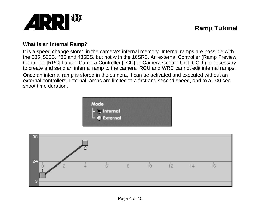

## **What is an Internal Ramp?**

It is a speed change stored in the camera's internal memory. Internal ramps are possible with the 535, 535B, 435 and 435ES, but not with the 16SR3. An external Controller (Ramp Preview Controller [RPC] Laptop Camera Controller [LCC] or Camera Control Unit [CCU]) is necessary to create and send an internal ramp to the camera. RCU and WRC cannot edit internal ramps. Once an internal ramp is stored in the camera, it can be activated and executed without an external controllers. Internal ramps are limited to a first and second speed, and to a 100 sec shoot time duration.



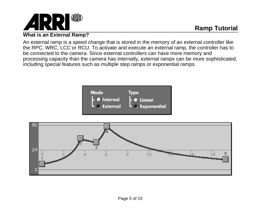

### **What is an External Ramp?**

An external ramp is a speed change that is stored in the memory of an external controller like the RPC, WRC, LCC or RCU. To activate and execute an external ramp, the controller has to be connected to the camera. Since external controllers can have more memory and processing capacity than the camera has internally, external ramps can be more sophisticated, including special features such as multiple step ramps or exponential ramps.



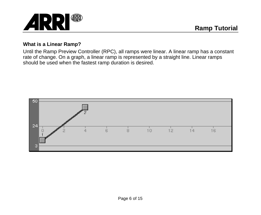

#### **What is a Linear Ramp?**

Until the Ramp Preview Controller (RPC), all ramps were linear. A linear ramp has a constant rate of change. On a graph, a linear ramp is represented by a straight line. Linear ramps should be used when the fastest ramp duration is desired.

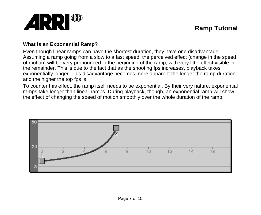

## **What is an Exponential Ramp?**

Even though linear ramps can have the shortest duration, they have one disadvantage. Assuming a ramp going from a slow to a fast speed, the perceived effect (change in the speed of motion) will be very pronounced in the beginning of the ramp, with very little effect visible in the remainder. This is due to the fact that as the shooting fps increases, playback takes exponentially longer. This disadvantage becomes more apparent the longer the ramp duration and the higher the top fps is.

To counter this effect, the ramp itself needs to be exponential. By their very nature, exponential ramps take longer than linear ramps. During playback, though, an exponential ramp will show the effect of changing the speed of motion smoothly over the whole duration of the ramp.

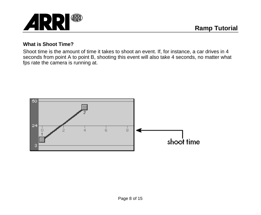

#### **What is Shoot Time?**

Shoot time is the amount of time it takes to shoot an event. If, for instance, a car drives in 4 seconds from point A to point B, shooting this event will also take 4 seconds, no matter what fps rate the camera is running at.

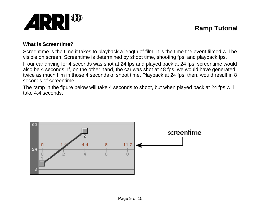

## **What is Screentime?**

Screentime is the time it takes to playback a length of film. It is the time the event filmed will be visible on screen. Screentime is determined by shoot time, shooting fps, and playback fps. If our car driving for 4 seconds was shot at 24 fps and played back at 24 fps, screentime would also be 4 seconds. If, on the other hand, the car was shot at 48 fps, we would have generated twice as much film in those 4 seconds of shoot time. Playback at 24 fps, then, would result in 8 seconds of screentime.

The ramp in the figure below will take 4 seconds to shoot, but when played back at 24 fps will take 4.4 seconds.

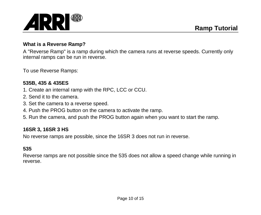

## **What is a Reverse Ramp?**

A "Reverse Ramp" is a ramp during which the camera runs at reverse speeds. Currently only internal ramps can be run in reverse.

To use Reverse Ramps:

#### **535B, 435 & 435ES**

- 1. Create an internal ramp with the RPC, LCC or CCU.
- 2. Send it to the camera.
- 3. Set the camera to a reverse speed.
- 4. Push the PROG button on the camera to activate the ramp.
- 5. Run the camera, and push the PROG button again when you want to start the ramp.

#### **16SR 3, 16SR 3 HS**

No reverse ramps are possible, since the 16SR 3 does not run in reverse.

## **535**

Reverse ramps are not possible since the 535 does not allow a speed change while running in reverse.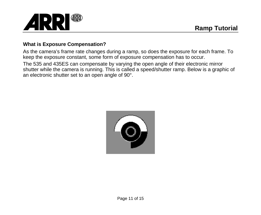

# **What is Exposure Compensation?**

As the camera's frame rate changes during a ramp, so does the exposure for each frame. To keep the exposure constant, some form of exposure compensation has to occur. The 535 and 435ES can compensate by varying the open angle of their electronic mirror shutter while the camera is running. This is called a speed/shutter ramp. Below is a graphic of an electronic shutter set to an open angle of 90°.

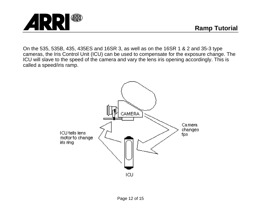

**GRRD ARR** 

On the 535, 535B, 435, 435ES and 16SR 3, as well as on the 16SR 1 & 2 and 35-3 type cameras, the Iris Control Unit (ICU) can be used to compensate for the exposure change. The ICU will slave to the speed of the camera and vary the lens iris opening accordingly. This is called a speed/iris ramp.

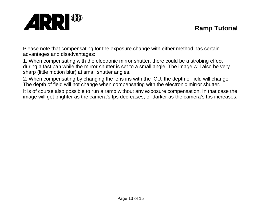

Please note that compensating for the exposure change with either method has certain advantages and disadvantages:

1. When compensating with the electronic mirror shutter, there could be a strobing effect during a fast pan while the mirror shutter is set to a small angle. The image will also be very sharp (little motion blur) at small shutter angles.

2. When compensating by changing the lens iris with the ICU, the depth of field will change. The depth of field will not change when compensating with the electronic mirror shutter.

It is of course also possible to run a ramp without any exposure compensation. In that case the image will get brighter as the camera's fps decreases, or darker as the camera's fps increases.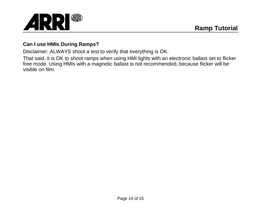

## **Can I use HMIs During Ramps?**

Disclaimer: ALWAYS shoot a test to verify that everything is OK.

That said, it is OK to shoot ramps when using HMI lights with an electronic ballast set to flicker free mode. Using HMIs with a magnetic ballast is not recommended, because flicker will be visible on film.